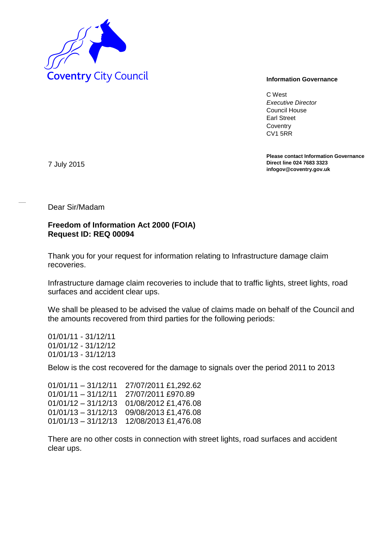

C West *Executive Director* Council House Earl Street **Coventry** CV1 5RR

**Please contact Information Governance Direct line 024 7683 3323 infogov@coventry.gov.uk** 

7 July 2015

Dear Sir/Madam

## **Freedom of Information Act 2000 (FOIA) Request ID: REQ 00094**

Thank you for your request for information relating to Infrastructure damage claim recoveries.

Infrastructure damage claim recoveries to include that to traffic lights, street lights, road surfaces and accident clear ups.

We shall be pleased to be advised the value of claims made on behalf of the Council and the amounts recovered from third parties for the following periods:

01/01/11 - 31/12/11 01/01/12 - 31/12/12 01/01/13 - 31/12/13

Below is the cost recovered for the damage to signals over the period 2011 to 2013

01/01/11 – 31/12/11 27/07/2011 £1,292.62 01/01/11 – 31/12/11 27/07/2011 £970.89 01/01/12 – 31/12/13 01/08/2012 £1,476.08 01/01/13 – 31/12/13 09/08/2013 £1,476.08 01/01/13 – 31/12/13 12/08/2013 £1,476.08

There are no other costs in connection with street lights, road surfaces and accident clear ups.